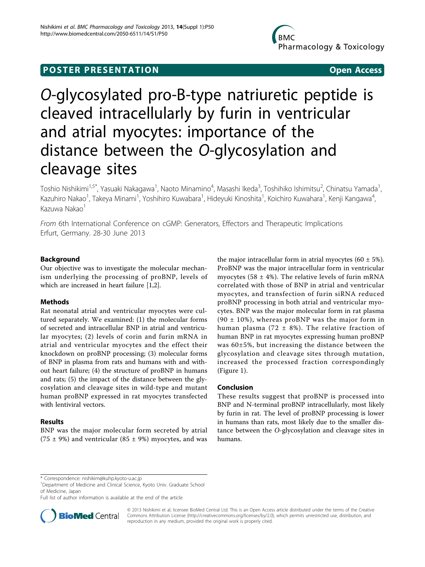## **POSTER PRESENTATION CONSUMING ACCESS**

# O-glycosylated pro-B-type natriuretic peptide is cleaved intracellularly by furin in ventricular and atrial myocytes: importance of the distance between the O-glycosylation and cleavage sites

Toshio Nishikimi<sup>1,5\*</sup>, Yasuaki Nakagawa<sup>1</sup>, Naoto Minamino<sup>4</sup>, Masashi Ikeda<sup>3</sup>, Toshihiko Ishimitsu<sup>2</sup>, Chinatsu Yamada<sup>1</sup> , Kazuhiro Nakao<sup>1</sup>, Takeya Minami<sup>1</sup>, Yoshihiro Kuwabara<sup>1</sup>, Hideyuki Kinoshita<sup>1</sup>, Koichiro Kuwahara<sup>1</sup>, Kenji Kangawa<sup>4</sup> , Kazuwa Nakao<sup>1</sup>

From 6th International Conference on cGMP: Generators, Effectors and Therapeutic Implications Erfurt, Germany. 28-30 June 2013

## Background

Our objective was to investigate the molecular mechanism underlying the processing of proBNP, levels of which are increased in heart failure [[1](#page-1-0),[2](#page-1-0)].

## Methods

Rat neonatal atrial and ventricular myocytes were cultured separately. We examined: (1) the molecular forms of secreted and intracellular BNP in atrial and ventricular myocytes; (2) levels of corin and furin mRNA in atrial and ventricular myocytes and the effect their knockdown on proBNP processing; (3) molecular forms of BNP in plasma from rats and humans with and without heart failure; (4) the structure of proBNP in humans and rats; (5) the impact of the distance between the glycosylation and cleavage sites in wild-type and mutant human proBNP expressed in rat myocytes transfected with lentiviral vectors.

## Results

BNP was the major molecular form secreted by atrial (75  $\pm$  9%) and ventricular (85  $\pm$  9%) myocytes, and was

the major intracellular form in atrial myocytes  $(60 \pm 5\%)$ . ProBNP was the major intracellular form in ventricular myocytes (58  $\pm$  4%). The relative levels of furin mRNA correlated with those of BNP in atrial and ventricular myocytes, and transfection of furin siRNA reduced proBNP processing in both atrial and ventricular myocytes. BNP was the major molecular form in rat plasma  $(90 \pm 10\%)$ , whereas proBNP was the major form in human plasma (72  $\pm$  8%). The relative fraction of human BNP in rat myocytes expressing human proBNP was 60±5%, but increasing the distance between the glycosylation and cleavage sites through mutation, increased the processed fraction correspondingly (Figure [1\)](#page-1-0).

### Conclusion

These results suggest that proBNP is processed into BNP and N-terminal proBNP intracellularly, most likely by furin in rat. The level of proBNP processing is lower in humans than rats, most likely due to the smaller distance between the O-glycosylation and cleavage sites in humans.

Full list of author information is available at the end of the article



© 2013 Nishikimi et al; licensee BioMed Central Ltd. This is an Open Access article distributed under the terms of the Creative Commons Attribution License [\(http://creativecommons.org/licenses/by/2.0](http://creativecommons.org/licenses/by/2.0)), which permits unrestricted use, distribution, and reproduction in any medium, provided the original work is properly cited.

<sup>\*</sup> Correspondence: [nishikim@kuhp.kyoto-u.ac.jp](mailto:nishikim@kuhp.kyoto-u.ac.jp)

<sup>&</sup>lt;sup>1</sup>Department of Medicine and Clinical Science, Kyoto Univ. Graduate School of Medicine, Japan